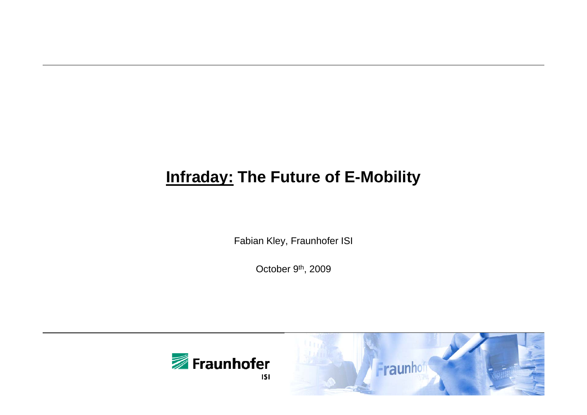# **Infraday: The Future of E-Mobility**

Fabian Kley, Fraunhofer ISI

October 9<sup>th</sup>, 2009



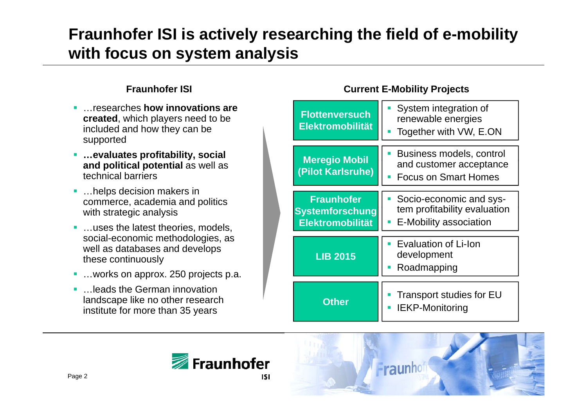# **Fraunhofer ISI is actively researching the field of e-mobility with focus on system analysis**

#### **Fraunhofer ISI**

- г …researches **how innovations are created**, which players need to be included and how they can be supported
- **…evaluates profitabilit y, social and political potential** as well as technical barriers
- …helps decision makers in commerce, academia and politics with strategic analysis
- …uses the latest theories, models, social-economic methodologies, as well as databases and develops
- …works on approx. 250 projects p.a.
- г …leads the German innovation institute for more than 35 years





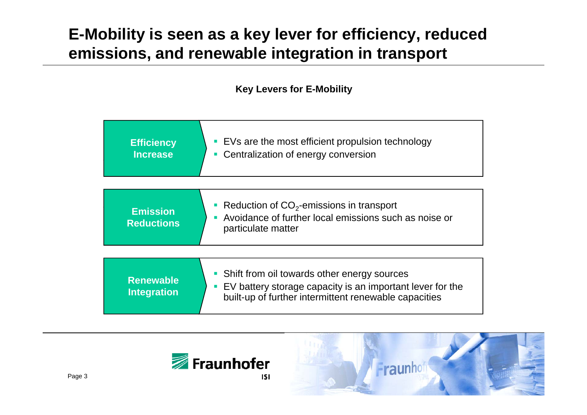## **E-Mobility is seen as a key lever for efficiency, reduced emissions, and renewable integration in transport**

**Key Levers for E-Mobility**

| <b>Efficiency</b><br><b>Increase</b>   | • EVs are the most efficient propulsion technology<br>• Centralization of energy conversion                                                                                   |  |  |
|----------------------------------------|-------------------------------------------------------------------------------------------------------------------------------------------------------------------------------|--|--|
|                                        |                                                                                                                                                                               |  |  |
| <b>Emission</b><br><b>Reductions</b>   | Reduction of $CO2$ -emissions in transport<br>I.<br>Avoidance of further local emissions such as noise or<br>Г<br>particulate matter                                          |  |  |
|                                        |                                                                                                                                                                               |  |  |
| <b>Renewable</b><br><b>Integration</b> | Shift from oil towards other energy sources<br>I.<br>EV battery storage capacity is an important lever for the<br>I.<br>built-up of further intermittent renewable capacities |  |  |



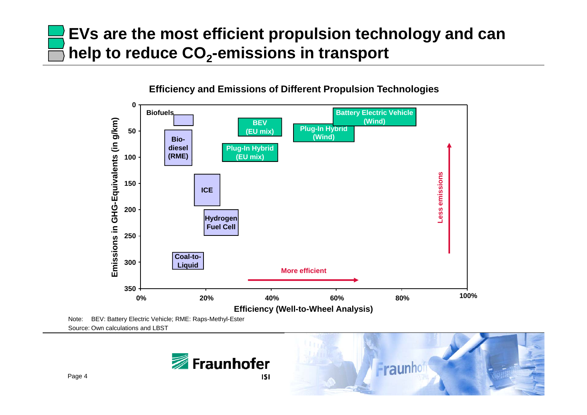# **EVs are the most efficient propulsion technology and can help to reduce CO <sup>2</sup>-emissions in transport**



**Efficiency and Emissions of Different Propulsion Technologies**

Note: BEV: Battery Electric Vehicle; RME: Raps-Methyl-Ester Source: Own calculations and LBST



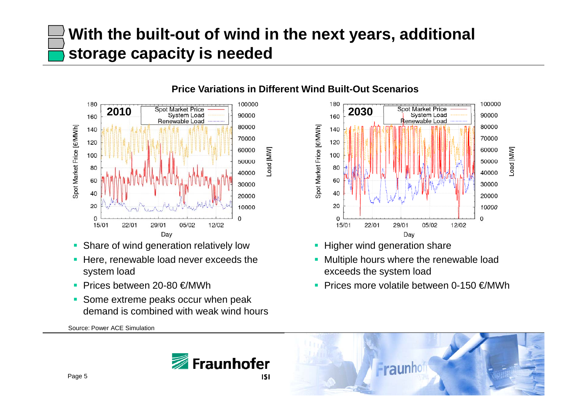# **With the built-out of wind in the next years, additional storage capacity is needed**

[MM]<br>pad

**Price Variations in Different Wind Built-Out Scenarios**



- $\blacksquare$ Share of wind generation relatively low **Figher wind generation share**
- **Here, renewable load never exceeds the** system load
- Prices between 20-80 €/MWh
- **Some extreme peaks occur when peak** demand is combined with weak wind hours

Source: Power ACE Simulation



- 
- **Multiple hours where the renewable load** exceeds the system load
- Prices more volatile between 0-150 €/MWh



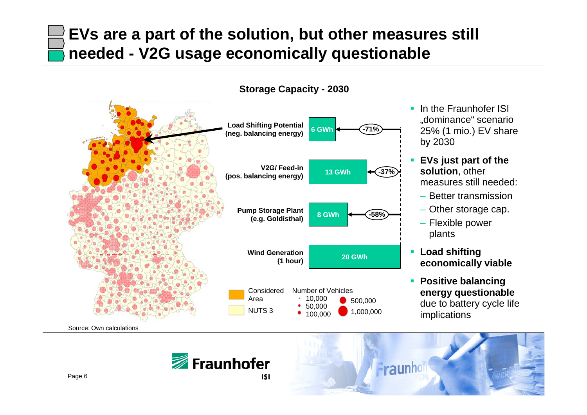#### **EVs are a part of the solution, but other measures still needed - V2G usage economically questionable**

**Storage Capacity - 2030**



- **If** In the Fraunhofer ISI "dominance" scenario 25% (1 mio.) EV share by 2030
- **EVs just part of the EVs solution**, other measures still needed:
	- Better transmission
	- Other storage cap.
	- Flexible power plants
- **Load shifting**
- $\blacksquare$  **Positive balancing energy questionable** due to battery cycle life implications





Page 6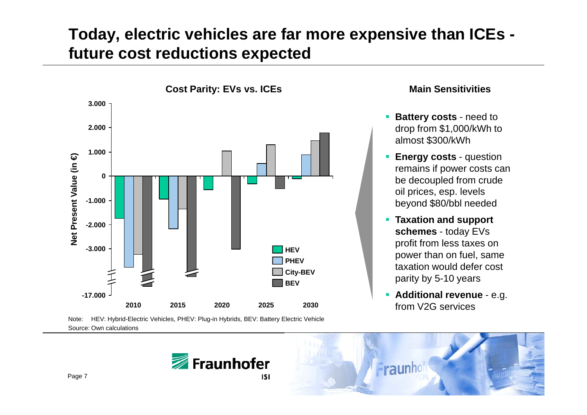#### **Today, electric vehicles are far more expensive than ICEs future cost reductions expected**



- $\mathcal{L}_{\mathcal{A}}$  **Battery costs** - need to drop from \$1,000/kWh to almost \$300/kWh
- **Energy costs question** remains if power costs can be decoupled from crude oil prices, esp. levels be yond \$80/bbl needed
- **Taxation and support schemes** - today EVs profit from less taxes on power than on fuel same fuel, taxation would defer cost parity by 5-10 years
	- **Additional revenue** e.g.



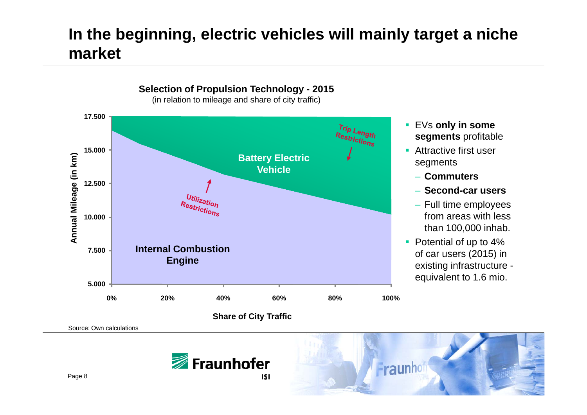#### **In the beginning, electric vehicles will mainly target a niche market**



- EVs **only in some segments** profitable
- **Attractive first user** seaments
	- **Commuters**
	- **Second-car users**
	- Full time employees
- Potential of up to 4% existing infrastructure equivalent to 1.6 mio.





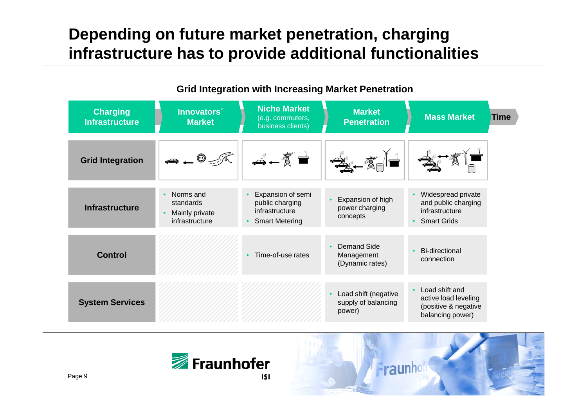#### **Depending on future market penetration, charging infrastructure has to provide additional functionalities**

| <b>Charging</b><br><b>Infrastructure</b> | Innovators <sup>®</sup><br><b>Market</b>                                | <b>Niche Market</b><br>(e.g. commuters,<br>business clients)                                 | <b>Market</b><br><b>Penetration</b>                   | <b>Mass Market</b><br><b>Time</b>                                                  |
|------------------------------------------|-------------------------------------------------------------------------|----------------------------------------------------------------------------------------------|-------------------------------------------------------|------------------------------------------------------------------------------------|
| <b>Grid Integration</b>                  |                                                                         | $-\sqrt[\frac{1}{2}]{\frac{1}{2}}$                                                           |                                                       |                                                                                    |
| <b>Infrastructure</b>                    | Norms and<br>$\bullet$<br>standards<br>Mainly private<br>infrastructure | Expansion of semi<br>public charging<br>infrastructure<br><b>Smart Metering</b><br>$\bullet$ | Expansion of high<br>power charging<br>concepts       | Widespread private<br>and public charging<br>infrastructure<br><b>Smart Grids</b>  |
| <b>Control</b>                           |                                                                         | Time-of-use rates<br>$\bullet$                                                               | Demand Side<br>Management<br>(Dynamic rates)          | <b>Bi-directional</b><br>connection                                                |
| <b>System Services</b>                   |                                                                         |                                                                                              | Load shift (negative<br>supply of balancing<br>power) | Load shift and<br>active load leveling<br>(positive & negative<br>balancing power) |

#### **Grid Integration with Increasing Market Penetration**



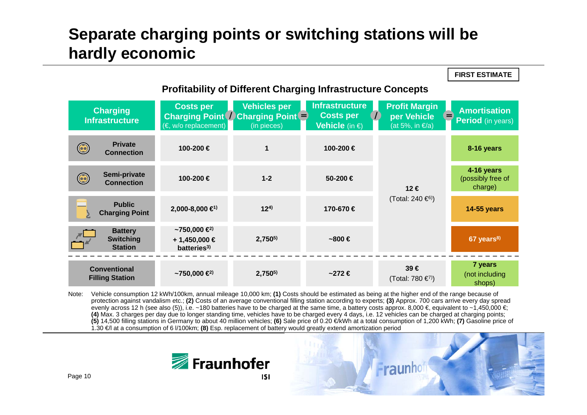#### **Separate charging points or switching stations will be hardly economic**

**Profitability of Different Charging Infrastructure Concepts Vehicles per Infrastructure Profit Margin Charging Amortisation Costs per Charging** *P // Charging Point* **<b>// Charging Point** *= // Costs per <i>//* (in pieces) **// Vehicle** (in €) **C t Costs per per Vehicle InfrastructurePeriod** (in years) **Vehicle** (in €) (at 5%, in  $\epsilon/a$ ) (in pieces) **100-200 € 8-16 years Private Connection** $\bigodot$ **100-200 €**<br>200nection 100-200 **14-16 years Semi-private**   $\bigodot$ **100-200 €1-2 50-200 €** (possibly free of **Connection**charge) **12 €**(Total: 240 €6)) **Public 14 55 €1) 170-67014-55 years 124) 1702 000 8 000 2,000-8,000 670 €Charging Point ~750,000 €2) Battery Switching 2,7505) ~800 € 67 years8) + 1,450,000 € Stationbatteries3) Filling Station 2,7505) ~272 € 39 €** (Total: 780 €7)) **7 years** (not including shops) **~750,000 €2) Conventional**

Note: Vehicle consumption 12 kWh/100km, annual mileage 10,000 km; **(1)** Costs should be estimated as being at the higher end of the range because of protection against vandalism etc.; (2) Costs of an average conventional filling station according to experts; (3) Approx. 700 cars arrive every day spread evenly across 12 h (see also (5)), i.e. ~180 batteries have to be charged at the same time, a battery costs approx. 8,000 €, equivalent to ~1,450,000 €; **(4)** Max. 3 charges per day due to longer standing time, vehicles have to be charged every 4 days, i.e. 12 vehicles can be charged at charging points; **(5)** 14,500 filling stations in Germany to about 40 million vehicles; **(6)** Sale price of 0.20 €/kWh at a total consumption of 1,200 kWh; **(7)** Gasoline price of 1.30 €/l at a consumption of 6 l/100km; **(8)** Esp. replacement of battery would greatly extend amortization period





**FIRST ESTIMATE**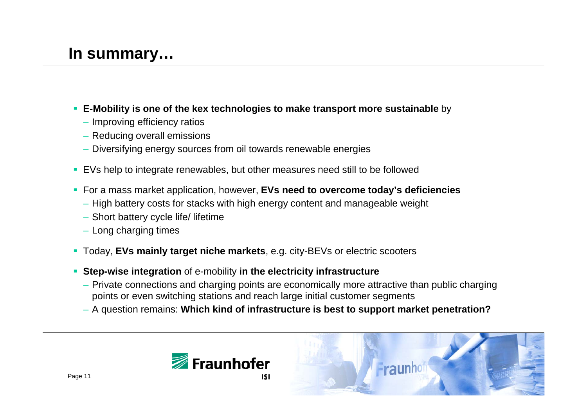- **E-Mobility is one of the kex technologies to make transport more sustainable** by
	- Improving efficiency ratios
	- Reducing overall emissions
	- Diversifying energy sources from oil towards renewable energies
- EVs help to integrate renewables, but other measures need still to be followed
- For a mass market application, however, **EVs need to overcome today's deficiencies**
	- High battery costs for stacks with high energy content and manageable weight
	- Short battery cycle life/ lifetime
	- Long charging times
- Today, EVs mainly target niche markets, e.g. city-BEVs or electric scooters
- **Step-wise integration** of e-mobility **in the electricity infrastructure**
	- Private connections and charging points are economically more attractive than public charging points or even switching stations and reach large initial customer segments
	- A question remains: **Which kind of infrastructure is best to support market penetration?**



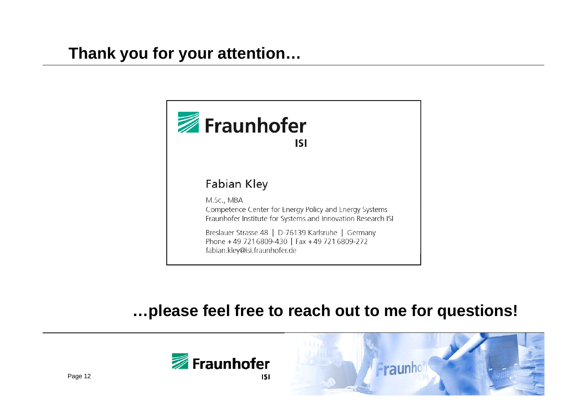

#### **…please feel free to reach out to me for questions!**



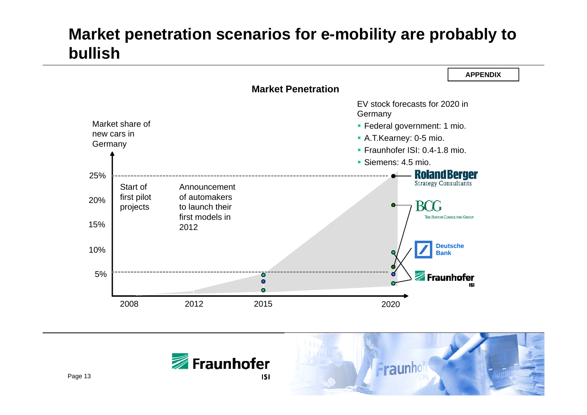#### **Market penetration scenarios for e-mobility are probably to bullish**





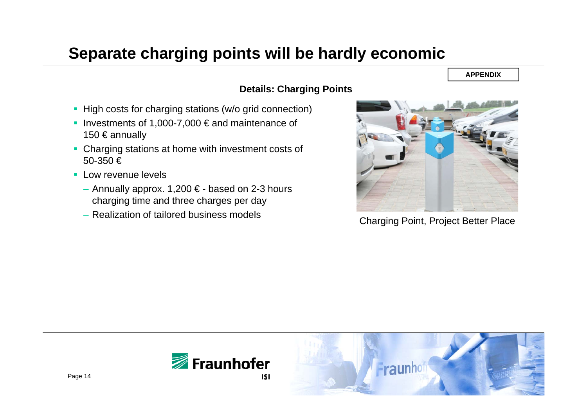#### **Separate charging points will be hardly economic**

#### **APPENDIX**

#### **Details: Charging Points**

- High costs for charging stations (w/o grid connection)
- Investments of 1,000-7,000  $\epsilon$  and maintenance of 150 € annually
- Charging stations at home with investment costs of 50-350€
- **Low revenue levels** 
	- $-$  Annually approx. 1,200 € based on 2-3 hours charging time and three charges per day
	- Realization of tailored business models



Charging Point, Project Better Place